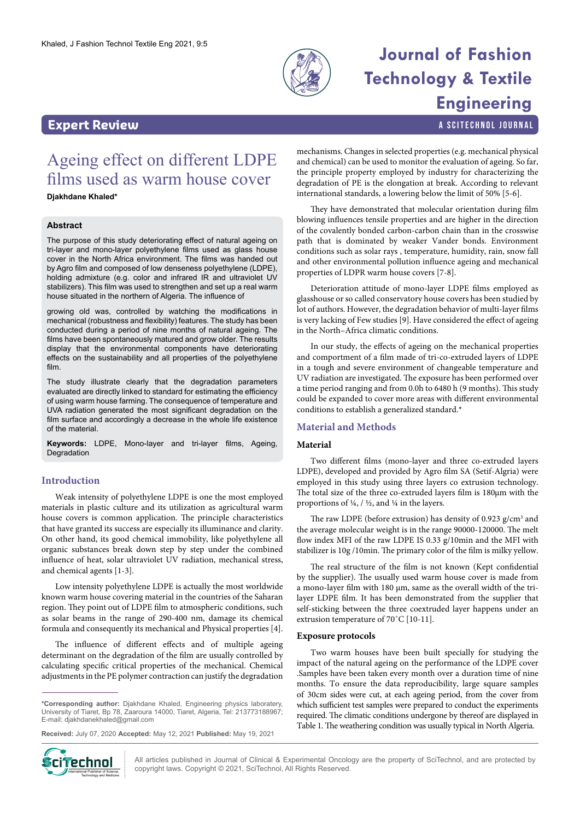

# **Journal of Fashion Technology & Textile Engineering**

a SciTechnol journal

# **Expert Review**

# Ageing effect on different LDPE films used as warm house cover

# **Djakhdane Khaled\***

# **Abstract**

The purpose of this study deteriorating effect of natural ageing on tri-layer and mono-layer polyethylene films used as glass house cover in the North Africa environment. The films was handed out by Agro film and composed of low denseness polyethylene (LDPE), holding admixture (e.g. color and infrared IR and ultraviolet UV stabilizers). This film was used to strengthen and set up a real warm house situated in the northern of Algeria. The influence of

growing old was, controlled by watching the modifications in mechanical (robustness and flexibility) features. The study has been conducted during a period of nine months of natural ageing. The films have been spontaneously matured and grow older. The results display that the environmental components have deteriorating effects on the sustainability and all properties of the polyethylene film.

The study illustrate clearly that the degradation parameters evaluated are directly linked to standard for estimating the efficiency of using warm house farming. The consequence of temperature and UVA radiation generated the most significant degradation on the film surface and accordingly a decrease in the whole life existence of the material.

**Keywords:** LDPE, Mono-layer and tri-layer films, Ageing, Degradation

# **Introduction**

Weak intensity of polyethylene LDPE is one the most employed materials in plastic culture and its utilization as agricultural warm house covers is common application. The principle characteristics that have granted its success are especially its illuminance and clarity. On other hand, its good chemical immobility, like polyethylene all organic substances break down step by step under the combined influence of heat, solar ultraviolet UV radiation, mechanical stress, and chemical agents [1-3].

Low intensity polyethylene LDPE is actually the most worldwide known warm house covering material in the countries of the Saharan region. They point out of LDPE film to atmospheric conditions, such as solar beams in the range of 290-400 nm, damage its chemical formula and consequently its mechanical and Physical properties [4].

The influence of different effects and of multiple ageing determinant on the degradation of the film are usually controlled by calculating specific critical properties of the mechanical. Chemical adjustments in the PE polymer contraction can justify the degradation

**Received:** July 07, 2020 **Accepted:** May 12, 2021 **Published:** May 19, 2021



All articles published in Journal of Clinical & Experimental Oncology are the property of SciTechnol, and are protected by **Ciffechnol** All articles published in Journal of Clinical & Experimental Oncolo<br>copyright laws. Copyright © 2021, SciTechnol, All Rights Reserved.

mechanisms. Changes in selected properties (e.g. mechanical physical and chemical) can be used to monitor the evaluation of ageing. So far, the principle property employed by industry for characterizing the degradation of PE is the elongation at break. According to relevant international standards, a lowering below the limit of 50% [5-6].

They have demonstrated that molecular orientation during film blowing influences tensile properties and are higher in the direction of the covalently bonded carbon-carbon chain than in the crosswise path that is dominated by weaker Vander bonds. Environment conditions such as solar rays , temperature, humidity, rain, snow fall and other environmental pollution influence ageing and mechanical properties of LDPR warm house covers [7-8].

Deterioration attitude of mono-layer LDPE films employed as glasshouse or so called conservatory house covers has been studied by lot of authors. However, the degradation behavior of multi-layer films is very lacking of Few studies [9]. Have considered the effect of ageing in the North–Africa climatic conditions.

In our study, the effects of ageing on the mechanical properties and comportment of a film made of tri-co-extruded layers of LDPE in a tough and severe environment of changeable temperature and UV radiation are investigated. The exposure has been performed over a time period ranging and from 0.0h to 6480 h (9 months). This study could be expanded to cover more areas with different environmental conditions to establish a generalized standard.\*

# **Material and Methods**

### **Material**

Two different films (mono-layer and three co-extruded layers LDPE), developed and provided by Agro film SA (Setif-Algria) were employed in this study using three layers co extrusion technology. The total size of the three co-extruded layers film is 180µm with the proportions of ¼, / ½, and ¼ in the layers.

The raw LDPE (before extrusion) has density of  $0.923$  g/cm<sup>3</sup> and the average molecular weight is in the range 90000-120000. The melt flow index MFI of the raw LDPE IS 0.33 g/10min and the MFI with stabilizer is 10g /10min. The primary color of the film is milky yellow.

The real structure of the film is not known (Kept confidential by the supplier). The usually used warm house cover is made from a mono-layer film with 180 µm, same as the overall width of the trilayer LDPE film. It has been demonstrated from the supplier that self-sticking between the three coextruded layer happens under an extrusion temperature of 70˚C [10-11].

# **Exposure protocols**

Two warm houses have been built specially for studying the impact of the natural ageing on the performance of the LDPE cover .Samples have been taken every month over a duration time of nine months. To ensure the data reproducibility, large square samples of 30cm sides were cut, at each ageing period, from the cover from which sufficient test samples were prepared to conduct the experiments required. The climatic conditions undergone by thereof are displayed in Table 1. The weathering condition was usually typical in North Algeria.

**<sup>\*</sup>Corresponding author:** Djakhdane Khaled, Engineering physics laboratery, University of Tiaret, Bp 78, Zaaroura 14000, Tiaret, Algeria, Tel: 213773188967; E-mail: djakhdanekhaled@gmail.com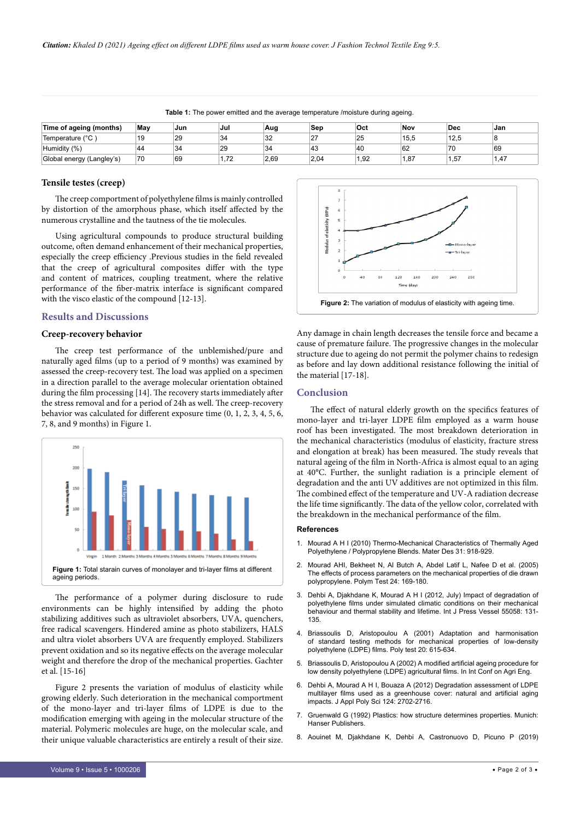| Time of ageing (months)   | Mav | Jun | Jul         | Aug  | Sep      | Oct  | Nov  | Dec  | Jan |
|---------------------------|-----|-----|-------------|------|----------|------|------|------|-----|
| Temperature (°C           | 19  | 29  | 34          | 32   | ົ<br>- 1 | 25   | 15,5 | 12.5 |     |
| Humidity (%)              | 44  | 34  | 29          | 34   | د4       | 40   | 62   | 70   | 69  |
| Global energy (Langley's) | 70  | 69  | 72<br>ے ، ۔ | 2.69 | 2.04     | 1.92 | . 87 | 1.57 | .47 |

**Table 1:** The power emitted and the average temperature /moisture during ageing.

### **Tensile testes (creep)**

The creep comportment of polyethylene films is mainly controlled by distortion of the amorphous phase, which itself affected by the numerous crystalline and the tautness of the tie molecules.

Using agricultural compounds to produce structural building outcome, often demand enhancement of their mechanical properties, especially the creep efficiency .Previous studies in the field revealed that the creep of agricultural composites differ with the type and content of matrices, coupling treatment, where the relative performance of the fiber-matrix interface is significant compared with the visco elastic of the compound [12-13].

# **Results and Discussions**

#### **Creep-recovery behavior**

The creep test performance of the unblemished/pure and naturally aged films (up to a period of 9 months) was examined by assessed the creep-recovery test. The load was applied on a specimen in a direction parallel to the average molecular orientation obtained during the film processing [14]. The recovery starts immediately after the stress removal and for a period of 24h as well. The creep-recovery behavior was calculated for different exposure time (0, 1, 2, 3, 4, 5, 6, 7, 8, and 9 months) in Figure 1.



The performance of a polymer during disclosure to rude environments can be highly intensified by adding the photo stabilizing additives such as ultraviolet absorbers, UVA, quenchers, free radical scavengers. Hindered amine as photo stabilizers, HALS and ultra violet absorbers UVA are frequently employed. Stabilizers prevent oxidation and so its negative effects on the average molecular weight and therefore the drop of the mechanical properties. Gachter et al. [15-16]

Figure 2 presents the variation of modulus of elasticity while growing elderly. Such deterioration in the mechanical comportment of the mono-layer and tri-layer films of LDPE is due to the modification emerging with ageing in the molecular structure of the material. Polymeric molecules are huge, on the molecular scale, and their unique valuable characteristics are entirely a result of their size.



Any damage in chain length decreases the tensile force and became a cause of premature failure. The progressive changes in the molecular structure due to ageing do not permit the polymer chains to redesign as before and lay down additional resistance following the initial of the material [17-18].

# **Conclusion**

The effect of natural elderly growth on the specifics features of mono-layer and tri-layer LDPE film employed as a warm house roof has been investigated. The most breakdown deterioration in the mechanical characteristics (modulus of elasticity, fracture stress and elongation at break) has been measured. The study reveals that natural ageing of the film in North-Africa is almost equal to an aging at 40°C. Further, the sunlight radiation is a principle element of degradation and the anti UV additives are not optimized in this film. The combined effect of the temperature and UV-A radiation decrease the life time significantly. The data of the yellow color, correlated with the breakdown in the mechanical performance of the film.

#### **References**

- 1. Mourad A H I (2010) Thermo-Mechanical Characteristics of Thermally Aged Polyethylene / Polypropylene Blends. Mater Des 31: 918-929.
- 2. Mourad AHI, Bekheet N, Al Butch A, Abdel Latif L, Nafee D et al. (2005) The effects of process parameters on the mechanical properties of die drawn polypropylene. Polym Test 24: 169-180.
- 3. Dehbi A, Djakhdane K, Mourad A H I (2012, July) Impact of degradation of polyethylene films under simulated climatic conditions on their mechanical behaviour and thermal stability and lifetime. Int J Press Vessel 55058: 131- 135.
- 4. Briassoulis D, Aristopoulou A (2001) Adaptation and harmonisation of standard testing methods for mechanical properties of low-density polyethylene (LDPE) films. Poly test 20: 615-634.
- 5. Briassoulis D, Aristopoulou A (2002) A modified artificial ageing procedure for low density polyethylene (LDPE) agricultural films. In Int Conf on Agri Eng.
- 6. Dehbi A, Mourad A H I, Bouaza A (2012) Degradation assessment of LDPE multilayer films used as a greenhouse cover: natural and artificial aging impacts. J Appl Poly Sci 124: 2702-2716.
- 7. Gruenwald G (1992) Plastics: how structure determines properties. Munich: Hanser Publishers.
- 8. Aouinet M, Djakhdane K, Dehbi A, Castronuovo D, Picuno P (2019)